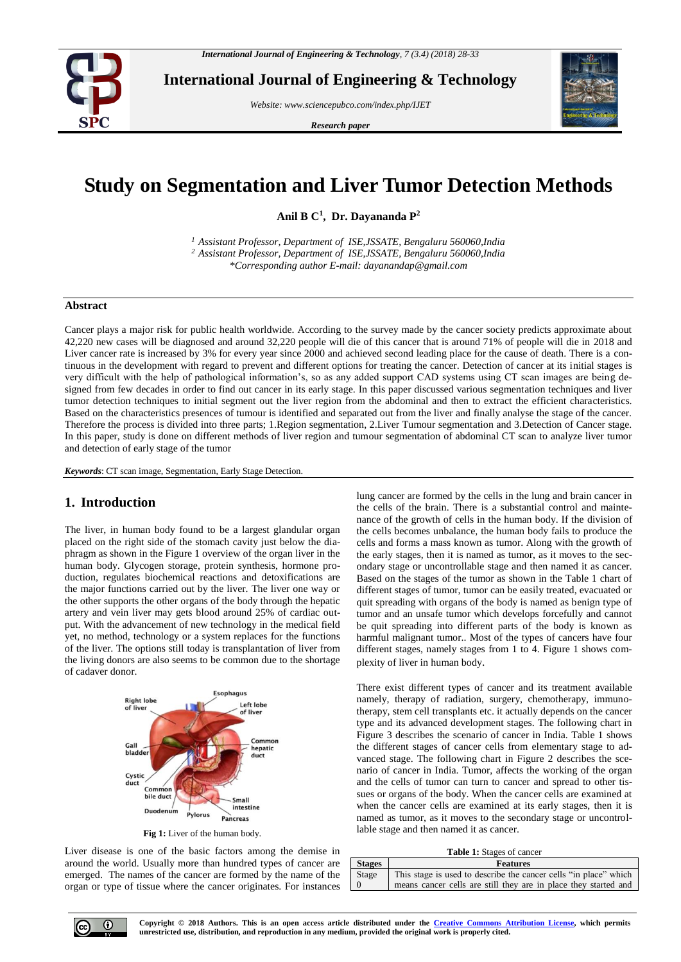

**International Journal of Engineering & Technology**

*Website: www.sciencepubco.com/index.php/IJET* 

*Research paper*



# **Study on Segmentation and Liver Tumor Detection Methods**

**Anil B C<sup>1</sup> , Dr. Dayananda P<sup>2</sup>**

*<sup>1</sup> Assistant Professor, Department of ISE,JSSATE, Bengaluru 560060,India <sup>2</sup> Assistant Professor, Department of ISE,JSSATE, Bengaluru 560060,India \*Corresponding author E-mail: dayanandap@gmail.com*

## **Abstract**

Cancer plays a major risk for public health worldwide. According to the survey made by the cancer society predicts approximate about 42,220 new cases will be diagnosed and around 32,220 people will die of this cancer that is around 71% of people will die in 2018 and Liver cancer rate is increased by 3% for every year since 2000 and achieved second leading place for the cause of death. There is a continuous in the development with regard to prevent and different options for treating the cancer. Detection of cancer at its initial stages is very difficult with the help of pathological information's, so as any added support CAD systems using CT scan images are being designed from few decades in order to find out cancer in its early stage. In this paper discussed various segmentation techniques and liver tumor detection techniques to initial segment out the liver region from the abdominal and then to extract the efficient characteristics. Based on the characteristics presences of tumour is identified and separated out from the liver and finally analyse the stage of the cancer. Therefore the process is divided into three parts; 1.Region segmentation, 2.Liver Tumour segmentation and 3.Detection of Cancer stage. In this paper, study is done on different methods of liver region and tumour segmentation of abdominal CT scan to analyze liver tumor and detection of early stage of the tumor

*Keywords*: CT scan image, Segmentation, Early Stage Detection.

# **1. Introduction**

The liver, in human body found to be a largest glandular organ placed on the right side of the stomach cavity just below the diaphragm as shown in the Figure 1 overview of the organ liver in the human body. Glycogen storage, protein synthesis, hormone production, regulates biochemical reactions and detoxifications are the major functions carried out by the liver. The liver one way or the other supports the other organs of the body through the hepatic artery and vein liver may gets blood around 25% of cardiac output. With the advancement of new technology in the medical field yet, no method, technology or a system replaces for the functions of the liver. The options still today is transplantation of liver from the living donors are also seems to be common due to the shortage of cadaver donor.



**Fig 1:** Liver of the human body.

Liver disease is one of the basic factors among the demise in around the world. Usually more than hundred types of cancer are emerged. The names of the cancer are formed by the name of the organ or type of tissue where the cancer originates. For instances lung cancer are formed by the cells in the lung and brain cancer in the cells of the brain. There is a substantial control and maintenance of the growth of cells in the human body. If the division of the cells becomes unbalance, the human body fails to produce the cells and forms a mass known as tumor. Along with the growth of the early stages, then it is named as tumor, as it moves to the secondary stage or uncontrollable stage and then named it as cancer. Based on the stages of the tumor as shown in the Table 1 chart of different stages of tumor, tumor can be easily treated, evacuated or quit spreading with organs of the body is named as benign type of tumor and an unsafe tumor which develops forcefully and cannot be quit spreading into different parts of the body is known as harmful malignant tumor.. Most of the types of cancers have four different stages, namely stages from 1 to 4. Figure 1 shows complexity of liver in human body.

There exist different types of cancer and its treatment available namely, therapy of radiation, surgery, chemotherapy, immunotherapy, stem cell transplants etc. it actually depends on the cancer type and its advanced development stages. The following chart in Figure 3 describes the scenario of cancer in India. Table 1 shows the different stages of cancer cells from elementary stage to advanced stage. The following chart in Figure 2 describes the scenario of cancer in India. Tumor, affects the working of the organ and the cells of tumor can turn to cancer and spread to other tissues or organs of the body. When the cancer cells are examined at when the cancer cells are examined at its early stages, then it is named as tumor, as it moves to the secondary stage or uncontrollable stage and then named it as cancer.

#### **Table 1:** Stages of cancer

| <b>Stages</b> | <b>Features</b>                                                  |
|---------------|------------------------------------------------------------------|
| Stage         | This stage is used to describe the cancer cells "in place" which |
| $\Omega$      | means cancer cells are still they are in place they started and  |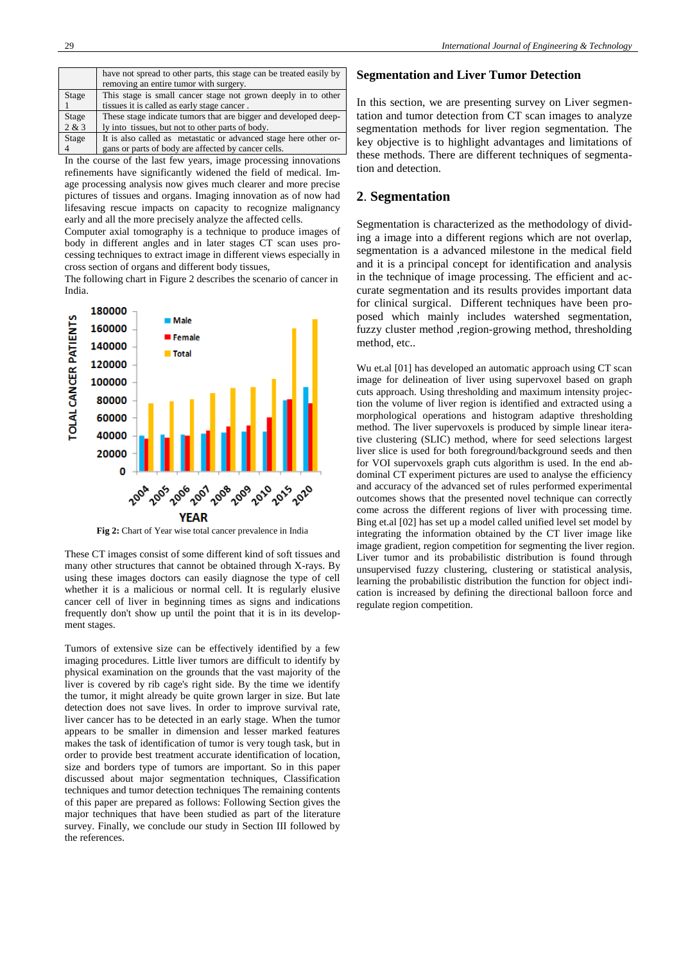|       | have not spread to other parts, this stage can be treated easily by<br>removing an entire tumor with surgery. |
|-------|---------------------------------------------------------------------------------------------------------------|
| Stage | This stage is small cancer stage not grown deeply in to other                                                 |
|       | tissues it is called as early stage cancer.                                                                   |
| Stage | These stage indicate tumors that are bigger and developed deep-                                               |
| 2 & 3 | ly into tissues, but not to other parts of body.                                                              |
| Stage | It is also called as metastatic or advanced stage here other or-                                              |
|       | gans or parts of body are affected by cancer cells.                                                           |

In the course of the last few years, image processing innovations refinements have significantly widened the field of medical. Image processing analysis now gives much clearer and more precise pictures of tissues and organs. Imaging innovation as of now had lifesaving rescue impacts on capacity to recognize malignancy early and all the more precisely analyze the affected cells.

Computer axial tomography is a technique to produce images of body in different angles and in later stages CT scan uses processing techniques to extract image in different views especially in cross section of organs and different body tissues,

The following chart in Figure 2 describes the scenario of cancer in India.



**Fig 2:** Chart of Year wise total cancer prevalence in India

These CT images consist of some different kind of soft tissues and many other structures that cannot be obtained through X-rays. By using these images doctors can easily diagnose the type of cell whether it is a malicious or normal cell. It is regularly elusive cancer cell of liver in beginning times as signs and indications frequently don't show up until the point that it is in its development stages.

Tumors of extensive size can be effectively identified by a few imaging procedures. Little liver tumors are difficult to identify by physical examination on the grounds that the vast majority of the liver is covered by rib cage's right side. By the time we identify the tumor, it might already be quite grown larger in size. But late detection does not save lives. In order to improve survival rate, liver cancer has to be detected in an early stage. When the tumor appears to be smaller in dimension and lesser marked features makes the task of identification of tumor is very tough task, but in order to provide best treatment accurate identification of location, size and borders type of tumors are important. So in this paper discussed about major segmentation techniques, Classification techniques and tumor detection techniques The remaining contents of this paper are prepared as follows: Following Section gives the major techniques that have been studied as part of the literature survey. Finally, we conclude our study in Section III followed by the references.

# **Segmentation and Liver Tumor Detection**

In this section, we are presenting survey on Liver segmentation and tumor detection from CT scan images to analyze segmentation methods for liver region segmentation. The key objective is to highlight advantages and limitations of these methods. There are different techniques of segmentation and detection.

### **2**. **Segmentation**

Segmentation is characterized as the methodology of dividing a image into a different regions which are not overlap, segmentation is a advanced milestone in the medical field and it is a principal concept for identification and analysis in the technique of image processing. The efficient and accurate segmentation and its results provides important data for clinical surgical. Different techniques have been proposed which mainly includes watershed segmentation, fuzzy cluster method ,region-growing method, thresholding method, etc..

Wu et.al [01] has developed an automatic approach using CT scan image for delineation of liver using supervoxel based on graph cuts approach. Using thresholding and maximum intensity projection the volume of liver region is identified and extracted using a morphological operations and histogram adaptive thresholding method. The liver supervoxels is produced by simple linear iterative clustering (SLIC) method, where for seed selections largest liver slice is used for both foreground/background seeds and then for VOI supervoxels graph cuts algorithm is used. In the end abdominal CT experiment pictures are used to analyse the efficiency and accuracy of the advanced set of rules performed experimental outcomes shows that the presented novel technique can correctly come across the different regions of liver with processing time. Bing et.al [02] has set up a model called unified level set model by integrating the information obtained by the CT liver image like image gradient, region competition for segmenting the liver region. Liver tumor and its probabilistic distribution is found through unsupervised fuzzy clustering, clustering or statistical analysis, learning the probabilistic distribution the function for object indication is increased by defining the directional balloon force and regulate region competition.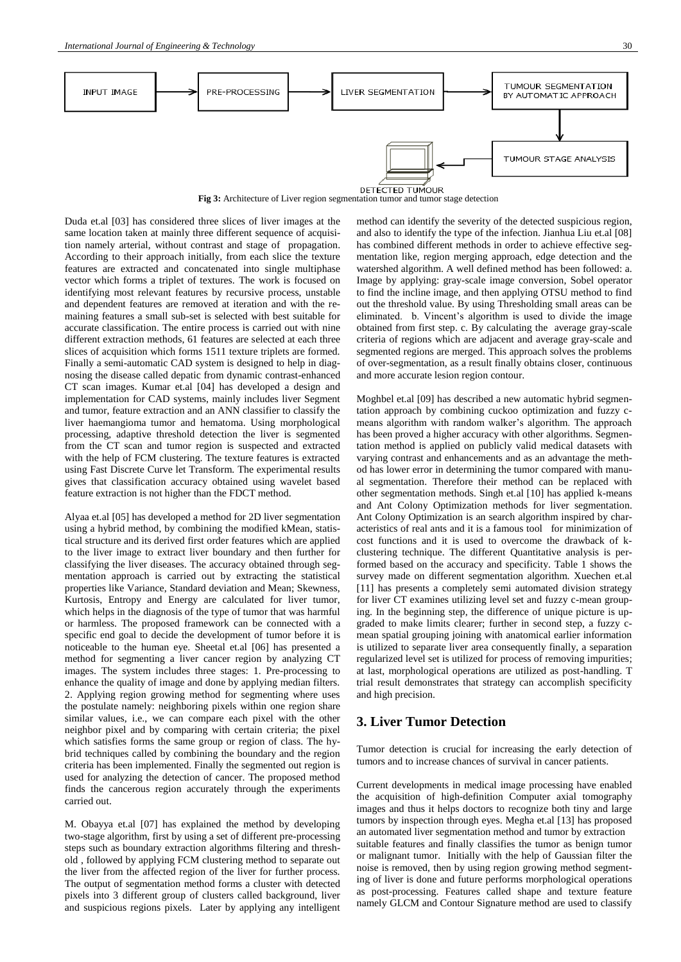

**Fig 3:** Architecture of Liver region segmentation tumor and tumor stage detection

Duda et.al [03] has considered three slices of liver images at the same location taken at mainly three different sequence of acquisition namely arterial, without contrast and stage of propagation. According to their approach initially, from each slice the texture features are extracted and concatenated into single multiphase vector which forms a triplet of textures. The work is focused on identifying most relevant features by recursive process, unstable and dependent features are removed at iteration and with the remaining features a small sub-set is selected with best suitable for accurate classification. The entire process is carried out with nine different extraction methods, 61 features are selected at each three slices of acquisition which forms 1511 texture triplets are formed. Finally a semi-automatic CAD system is designed to help in diagnosing the disease called depatic from dynamic contrast-enhanced CT scan images. Kumar et.al [04] has developed a design and implementation for CAD systems, mainly includes liver Segment and tumor, feature extraction and an ANN classifier to classify the liver haemangioma tumor and hematoma. Using morphological processing, adaptive threshold detection the liver is segmented from the CT scan and tumor region is suspected and extracted with the help of FCM clustering. The texture features is extracted using Fast Discrete Curve let Transform. The experimental results gives that classification accuracy obtained using wavelet based feature extraction is not higher than the FDCT method.

Alyaa et.al [05] has developed a method for 2D liver segmentation using a hybrid method, by combining the modified kMean, statistical structure and its derived first order features which are applied to the liver image to extract liver boundary and then further for classifying the liver diseases. The accuracy obtained through segmentation approach is carried out by extracting the statistical properties like Variance, Standard deviation and Mean; Skewness, Kurtosis, Entropy and Energy are calculated for liver tumor, which helps in the diagnosis of the type of tumor that was harmful or harmless. The proposed framework can be connected with a specific end goal to decide the development of tumor before it is noticeable to the human eye. Sheetal et.al [06] has presented a method for segmenting a liver cancer region by analyzing CT images. The system includes three stages: 1. Pre-processing to enhance the quality of image and done by applying median filters. 2. Applying region growing method for segmenting where uses the postulate namely: neighboring pixels within one region share similar values, i.e., we can compare each pixel with the other neighbor pixel and by comparing with certain criteria; the pixel which satisfies forms the same group or region of class. The hybrid techniques called by combining the boundary and the region criteria has been implemented. Finally the segmented out region is used for analyzing the detection of cancer. The proposed method finds the cancerous region accurately through the experiments carried out.

M. Obayya et.al [07] has explained the method by developing two-stage algorithm, first by using a set of different pre-processing steps such as boundary extraction algorithms filtering and threshold , followed by applying FCM clustering method to separate out the liver from the affected region of the liver for further process. The output of segmentation method forms a cluster with detected pixels into 3 different group of clusters called background, liver and suspicious regions pixels. Later by applying any intelligent method can identify the severity of the detected suspicious region, and also to identify the type of the infection. Jianhua Liu et.al [08] has combined different methods in order to achieve effective segmentation like, region merging approach, edge detection and the watershed algorithm. A well defined method has been followed: a. Image by applying: gray-scale image conversion, Sobel operator to find the incline image, and then applying OTSU method to find out the threshold value. By using Thresholding small areas can be eliminated. b. Vincent's algorithm is used to divide the image obtained from first step. c. By calculating the average gray-scale criteria of regions which are adjacent and average gray-scale and segmented regions are merged. This approach solves the problems of over-segmentation, as a result finally obtains closer, continuous and more accurate lesion region contour.

Moghbel et.al [09] has described a new automatic hybrid segmentation approach by combining cuckoo optimization and fuzzy cmeans algorithm with random walker's algorithm. The approach has been proved a higher accuracy with other algorithms. Segmentation method is applied on publicly valid medical datasets with varying contrast and enhancements and as an advantage the method has lower error in determining the tumor compared with manual segmentation. Therefore their method can be replaced with other segmentation methods. Singh et.al [10] has applied k-means and Ant Colony Optimization methods for liver segmentation. Ant Colony Optimization is an search algorithm inspired by characteristics of real ants and it is a famous tool for minimization of cost functions and it is used to overcome the drawback of kclustering technique. The different Quantitative analysis is performed based on the accuracy and specificity. Table 1 shows the survey made on different segmentation algorithm. Xuechen et.al [11] has presents a completely semi automated division strategy for liver CT examines utilizing level set and fuzzy c-mean grouping. In the beginning step, the difference of unique picture is upgraded to make limits clearer; further in second step, a fuzzy cmean spatial grouping joining with anatomical earlier information is utilized to separate liver area consequently finally, a separation regularized level set is utilized for process of removing impurities; at last, morphological operations are utilized as post-handling. T trial result demonstrates that strategy can accomplish specificity and high precision.

# **3. Liver Tumor Detection**

Tumor detection is crucial for increasing the early detection of tumors and to increase chances of survival in cancer patients.

Current developments in medical image processing have enabled the acquisition of high-definition Computer axial tomography images and thus it helps doctors to recognize both tiny and large tumors by inspection through eyes. Megha et.al [13] has proposed an automated liver segmentation method and tumor by extraction suitable features and finally classifies the tumor as benign tumor or malignant tumor. Initially with the help of Gaussian filter the noise is removed, then by using region growing method segmenting of liver is done and future performs morphological operations as post-processing. Features called shape and texture feature namely GLCM and Contour Signature method are used to classify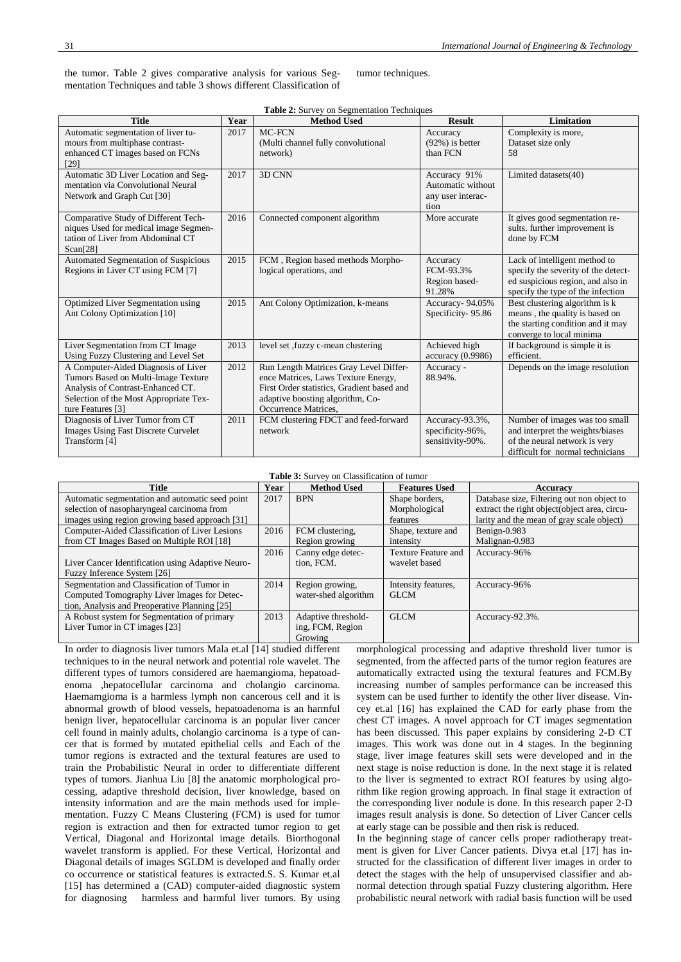the tumor. Table 2 gives comparative analysis for various Segmentation Techniques and table 3 shows different Classification of tumor techniques.

| <b>Title</b>                                                                                                                                                                   | Year | <b>radic 2.</b> But ve $\theta$ on begind that the rectangues<br><b>Method Used</b>                                                                                                     | <b>Result</b>                                                  | <b>Limitation</b>                                                                                                                              |
|--------------------------------------------------------------------------------------------------------------------------------------------------------------------------------|------|-----------------------------------------------------------------------------------------------------------------------------------------------------------------------------------------|----------------------------------------------------------------|------------------------------------------------------------------------------------------------------------------------------------------------|
| Automatic segmentation of liver tu-<br>mours from multiphase contrast-<br>enhanced CT images based on FCNs<br>[29]                                                             | 2017 | MC-FCN<br>(Multi channel fully convolutional<br>network)                                                                                                                                | Accuracy<br>$(92\%)$ is better<br>than FCN                     | Complexity is more,<br>Dataset size only<br>58                                                                                                 |
| Automatic 3D Liver Location and Seg-<br>mentation via Convolutional Neural<br>Network and Graph Cut [30]                                                                       | 2017 | 3D CNN                                                                                                                                                                                  | Accuracy 91%<br>Automatic without<br>any user interac-<br>tion | Limited datasets(40)                                                                                                                           |
| Comparative Study of Different Tech-<br>niques Used for medical image Segmen-<br>tation of Liver from Abdominal CT<br>Scan[28]                                                 | 2016 | Connected component algorithm                                                                                                                                                           | More accurate                                                  | It gives good segmentation re-<br>sults. further improvement is<br>done by FCM                                                                 |
| Automated Segmentation of Suspicious<br>Regions in Liver CT using FCM [7]                                                                                                      | 2015 | FCM, Region based methods Morpho-<br>logical operations, and                                                                                                                            | Accuracy<br>FCM-93.3%<br>Region based-<br>91.28%               | Lack of intelligent method to<br>specify the severity of the detect-<br>ed suspicious region, and also in<br>specify the type of the infection |
| Optimized Liver Segmentation using<br>Ant Colony Optimization [10]                                                                                                             | 2015 | Ant Colony Optimization, k-means                                                                                                                                                        | Accuracy-94.05%<br>Specificity-95.86                           | Best clustering algorithm is k<br>means, the quality is based on<br>the starting condition and it may<br>converge to local minima              |
| Liver Segmentation from CT Image<br>Using Fuzzy Clustering and Level Set                                                                                                       | 2013 | level set, fuzzy c-mean clustering                                                                                                                                                      | Achieved high<br>accuracy(0.9986)                              | If background is simple it is<br>efficient.                                                                                                    |
| A Computer-Aided Diagnosis of Liver<br>Tumors Based on Multi-Image Texture<br>Analysis of Contrast-Enhanced CT.<br>Selection of the Most Appropriate Tex-<br>ture Features [3] | 2012 | Run Length Matrices Gray Level Differ-<br>ence Matrices, Laws Texture Energy,<br>First Order statistics, Gradient based and<br>adaptive boosting algorithm, Co-<br>Occurrence Matrices. | Accuracy -<br>88.94%.                                          | Depends on the image resolution                                                                                                                |
| Diagnosis of Liver Tumor from CT<br><b>Images Using Fast Discrete Curvelet</b><br>Transform [4]                                                                                | 2011 | FCM clustering FDCT and feed-forward<br>network                                                                                                                                         | Accuracy-93.3%,<br>specificity-96%,<br>sensitivity-90%.        | Number of images was too small<br>and interpret the weights/biases<br>of the neural network is very<br>difficult for normal technicians        |

**Table 2:** Survey on Segmentation Techniques

#### **Table 3:** Survey on Classification of tumor

| Title                                             | Year | <b>Method Used</b>   | <b>Features Used</b>       | Accuracy                                      |  |  |
|---------------------------------------------------|------|----------------------|----------------------------|-----------------------------------------------|--|--|
| Automatic segmentation and automatic seed point   | 2017 | <b>BPN</b>           | Shape borders.             | Database size, Filtering out non object to    |  |  |
| selection of nasopharyngeal carcinoma from        |      |                      | Morphological              | extract the right object (object area, circu- |  |  |
| images using region growing based approach [31]   |      |                      | features                   | larity and the mean of gray scale object)     |  |  |
| Computer-Aided Classification of Liver Lesions    | 2016 | FCM clustering.      | Shape, texture and         | Benign-0.983                                  |  |  |
| from CT Images Based on Multiple ROI [18]         |      | Region growing       | intensity                  | Malignan-0.983                                |  |  |
|                                                   | 2016 | Canny edge detec-    | <b>Texture Feature and</b> | Accuracy-96%                                  |  |  |
| Liver Cancer Identification using Adaptive Neuro- |      | tion. FCM.           | wavelet based              |                                               |  |  |
| Fuzzy Inference System [26]                       |      |                      |                            |                                               |  |  |
| Segmentation and Classification of Tumor in       | 2014 | Region growing,      | Intensity features.        | Accuracy-96%                                  |  |  |
| Computed Tomography Liver Images for Detec-       |      | water-shed algorithm | <b>GLCM</b>                |                                               |  |  |
| tion, Analysis and Preoperative Planning [25]     |      |                      |                            |                                               |  |  |
| A Robust system for Segmentation of primary       | 2013 | Adaptive threshold-  | <b>GLCM</b>                | Accuracy-92.3%.                               |  |  |
| Liver Tumor in CT images [23]                     |      | ing, FCM, Region     |                            |                                               |  |  |
|                                                   |      | Growing              |                            |                                               |  |  |

In order to diagnosis liver tumors Mala et.al [14] studied different techniques to in the neural network and potential role wavelet. The different types of tumors considered are haemangioma, hepatoadenoma ,hepatocellular carcinoma and cholangio carcinoma. Haemamgioma is a harmless lymph non cancerous cell and it is abnormal growth of blood vessels, hepatoadenoma is an harmful benign liver, hepatocellular carcinoma is an popular liver cancer cell found in mainly adults, cholangio carcinoma is a type of cancer that is formed by mutated epithelial cells and Each of the tumor regions is extracted and the textural features are used to train the Probabilistic Neural in order to differentiate different types of tumors. Jianhua Liu [8] the anatomic morphological processing, adaptive threshold decision, liver knowledge, based on intensity information and are the main methods used for implementation. Fuzzy C Means Clustering (FCM) is used for tumor region is extraction and then for extracted tumor region to get Vertical, Diagonal and Horizontal image details. Biorthogonal wavelet transform is applied. For these Vertical, Horizontal and Diagonal details of images SGLDM is developed and finally order co occurrence or statistical features is extracted.S. S. Kumar et.al [15] has determined a (CAD) computer-aided diagnostic system for diagnosing harmless and harmful liver tumors. By using morphological processing and adaptive threshold liver tumor is segmented, from the affected parts of the tumor region features are automatically extracted using the textural features and FCM.By increasing number of samples performance can be increased this system can be used further to identify the other liver disease. Vincey et.al [16] has explained the CAD for early phase from the chest CT images. A novel approach for CT images segmentation has been discussed. This paper explains by considering 2-D CT images. This work was done out in 4 stages. In the beginning stage, liver image features skill sets were developed and in the next stage is noise reduction is done. In the next stage it is related to the liver is segmented to extract ROI features by using algorithm like region growing approach. In final stage it extraction of the corresponding liver nodule is done. In this research paper 2-D images result analysis is done. So detection of Liver Cancer cells at early stage can be possible and then risk is reduced.

In the beginning stage of cancer cells proper radiotherapy treatment is given for Liver Cancer patients. Divya et.al [17] has instructed for the classification of different liver images in order to detect the stages with the help of unsupervised classifier and abnormal detection through spatial Fuzzy clustering algorithm. Here probabilistic neural network with radial basis function will be used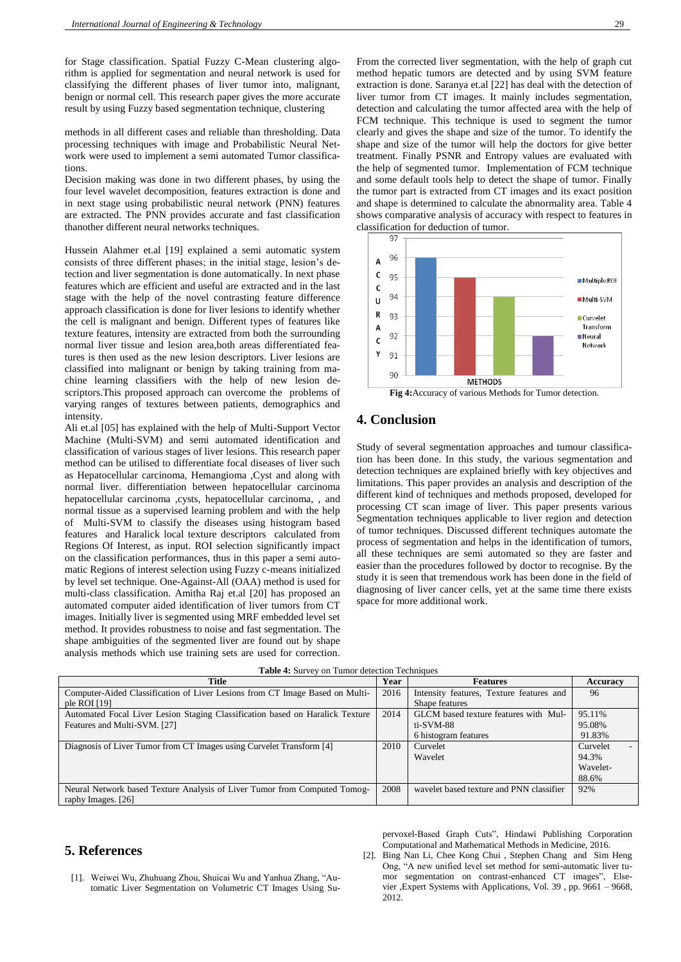for Stage classification. Spatial Fuzzy C-Mean clustering algorithm is applied for segmentation and neural network is used for classifying the different phases of liver tumor into, malignant, benign or normal cell. This research paper gives the more accurate result by using Fuzzy based segmentation technique, clustering

methods in all different cases and reliable than thresholding. Data processing techniques with image and Probabilistic Neural Network were used to implement a semi automated Tumor classifications.

Decision making was done in two different phases, by using the four level wavelet decomposition, features extraction is done and in next stage using probabilistic neural network (PNN) features are extracted. The PNN provides accurate and fast classification thanother different neural networks techniques.

Hussein Alahmer et.al [19] explained a semi automatic system consists of three different phases; in the initial stage, lesion's detection and liver segmentation is done automatically. In next phase features which are efficient and useful are extracted and in the last stage with the help of the novel contrasting feature difference approach classification is done for liver lesions to identify whether the cell is malignant and benign. Different types of features like texture features, intensity are extracted from both the surrounding normal liver tissue and lesion area,both areas differentiated features is then used as the new lesion descriptors. Liver lesions are classified into malignant or benign by taking training from machine learning classifiers with the help of new lesion descriptors.This proposed approach can overcome the problems of varying ranges of textures between patients, demographics and intensity.

Ali et.al [05] has explained with the help of Multi-Support Vector Machine (Multi-SVM) and semi automated identification and classification of various stages of liver lesions. This research paper method can be utilised to differentiate focal diseases of liver such as Hepatocellular carcinoma, Hemangioma ,Cyst and along with normal liver. differentiation between hepatocellular carcinoma hepatocellular carcinoma ,cysts, hepatocellular carcinoma, , and normal tissue as a supervised learning problem and with the help of Multi-SVM to classify the diseases using histogram based features and Haralick local texture descriptors calculated from Regions Of Interest, as input. ROI selection significantly impact on the classification performances, thus in this paper a semi automatic Regions of interest selection using Fuzzy c-means initialized by level set technique. One-Against-All (OAA) method is used for multi-class classification. Amitha Raj et.al [20] has proposed an automated computer aided identification of liver tumors from CT images. Initially liver is segmented using MRF embedded level set method. It provides robustness to noise and fast segmentation. The shape ambiguities of the segmented liver are found out by shape analysis methods which use training sets are used for correction. From the corrected liver segmentation, with the help of graph cut method hepatic tumors are detected and by using SVM feature extraction is done. Saranya et.al [22] has deal with the detection of liver tumor from CT images. It mainly includes segmentation, detection and calculating the tumor affected area with the help of FCM technique. This technique is used to segment the tumor clearly and gives the shape and size of the tumor. To identify the shape and size of the tumor will help the doctors for give better treatment. Finally PSNR and Entropy values are evaluated with the help of segmented tumor. Implementation of FCM technique and some default tools help to detect the shape of tumor. Finally the tumor part is extracted from CT images and its exact position and shape is determined to calculate the abnormality area. Table 4 shows comparative analysis of accuracy with respect to features in classification for deduction of tumor.



# **4. Conclusion**

Study of several segmentation approaches and tumour classification has been done. In this study, the various segmentation and detection techniques are explained briefly with key objectives and limitations. This paper provides an analysis and description of the different kind of techniques and methods proposed, developed for processing CT scan image of liver. This paper presents various Segmentation techniques applicable to liver region and detection of tumor techniques. Discussed different techniques automate the process of segmentation and helps in the identification of tumors, all these techniques are semi automated so they are faster and easier than the procedures followed by doctor to recognise. By the study it is seen that tremendous work has been done in the field of diagnosing of liver cancer cells, yet at the same time there exists space for more additional work.

| <b>rable +.</b> Burvey on Tunior detection recumques                          |      |                                          |                 |  |  |  |
|-------------------------------------------------------------------------------|------|------------------------------------------|-----------------|--|--|--|
| Title                                                                         | Year | <b>Features</b>                          | <b>Accuracy</b> |  |  |  |
| Computer-Aided Classification of Liver Lesions from CT Image Based on Multi-  | 2016 | Intensity features, Texture features and | 96              |  |  |  |
| ple ROI [19]                                                                  |      | Shape features                           |                 |  |  |  |
| Automated Focal Liver Lesion Staging Classification based on Haralick Texture | 2014 | GLCM based texture features with Mul-    | 95.11%          |  |  |  |
| Features and Multi-SVM. [27]                                                  |      | ti-SVM-88                                | 95.08%          |  |  |  |
|                                                                               |      | 6 histogram features                     | 91.83%          |  |  |  |
| Diagnosis of Liver Tumor from CT Images using Curvelet Transform [4]          | 2010 | Curvelet                                 | Curvelet        |  |  |  |
|                                                                               |      | Wavelet                                  | 94.3%           |  |  |  |
|                                                                               |      |                                          | Wavelet-        |  |  |  |
|                                                                               |      |                                          | 88.6%           |  |  |  |
| Neural Network based Texture Analysis of Liver Tumor from Computed Tomog-     | 2008 | wavelet based texture and PNN classifier | 92%             |  |  |  |
| raphy Images. [26]                                                            |      |                                          |                 |  |  |  |

### **Table 4:** Survey on Tumor detection Techniques

# **5. References**

[1]. Weiwei Wu, Zhuhuang Zhou, Shuicai Wu and Yanhua Zhang, "Automatic Liver Segmentation on Volumetric CT Images Using Supervoxel-Based Graph Cuts", Hindawi Publishing Corporation Computational and Mathematical Methods in Medicine, 2016.

[2]. Bing Nan Li, Chee Kong Chui , Stephen Chang and Sim Heng Ong, "A new unified level set method for semi-automatic liver tumor segmentation on contrast-enhanced CT images", Elsevier ,Expert Systems with Applications, Vol. 39 , pp. 9661 – 9668, 2012.